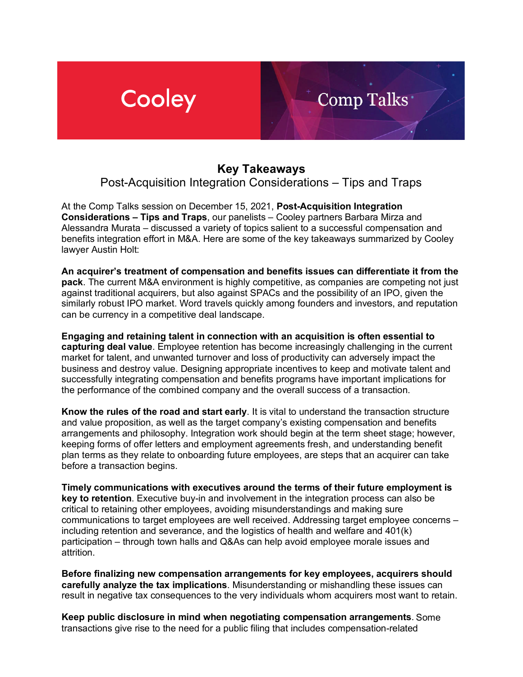## Cooley

## **Key Takeaways**

Comp Talks

Post-Acquisition Integration Considerations – Tips and Traps

At the Comp Talks session on December 15, 2021, **Post-Acquisition Integration Considerations – Tips and Traps**, our panelists – Cooley partners Barbara Mirza and Alessandra Murata – discussed a variety of topics salient to a successful compensation and benefits integration effort in M&A. Here are some of the key takeaways summarized by Cooley lawyer Austin Holt:

**An acquirer's treatment of compensation and benefits issues can differentiate it from the pack**. The current M&A environment is highly competitive, as companies are competing not just against traditional acquirers, but also against SPACs and the possibility of an IPO, given the similarly robust IPO market. Word travels quickly among founders and investors, and reputation can be currency in a competitive deal landscape.

**Engaging and retaining talent in connection with an acquisition is often essential to capturing deal value**. Employee retention has become increasingly challenging in the current market for talent, and unwanted turnover and loss of productivity can adversely impact the business and destroy value. Designing appropriate incentives to keep and motivate talent and successfully integrating compensation and benefits programs have important implications for the performance of the combined company and the overall success of a transaction.

**Know the rules of the road and start early**. It is vital to understand the transaction structure and value proposition, as well as the target company's existing compensation and benefits arrangements and philosophy. Integration work should begin at the term sheet stage; however, keeping forms of offer letters and employment agreements fresh, and understanding benefit plan terms as they relate to onboarding future employees, are steps that an acquirer can take before a transaction begins.

**Timely communications with executives around the terms of their future employment is key to retention**. Executive buy-in and involvement in the integration process can also be critical to retaining other employees, avoiding misunderstandings and making sure communications to target employees are well received. Addressing target employee concerns – including retention and severance, and the logistics of health and welfare and 401(k) participation – through town halls and Q&As can help avoid employee morale issues and attrition.

**Before finalizing new compensation arrangements for key employees, acquirers should carefully analyze the tax implications**. Misunderstanding or mishandling these issues can result in negative tax consequences to the very individuals whom acquirers most want to retain.

**Keep public disclosure in mind when negotiating compensation arrangements**. Some transactions give rise to the need for a public filing that includes compensation-related